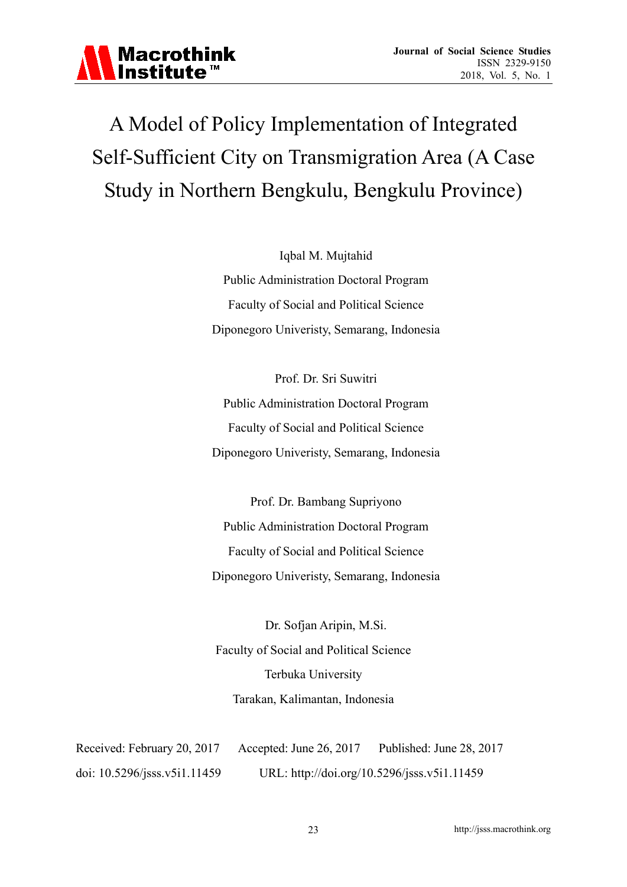

# A Model of Policy Implementation of Integrated Self-Sufficient City on Transmigration Area (A Case Study in Northern Bengkulu, Bengkulu Province)

Iqbal M. Mujtahid Public Administration Doctoral Program Faculty of Social and Political Science Diponegoro Univeristy, Semarang, Indonesia

Prof. Dr. Sri Suwitri Public Administration Doctoral Program Faculty of Social and Political Science Diponegoro Univeristy, Semarang, Indonesia

Prof. Dr. Bambang Supriyono Public Administration Doctoral Program Faculty of Social and Political Science Diponegoro Univeristy, Semarang, Indonesia

Dr. Sofjan Aripin, M.Si. Faculty of Social and Political Science Terbuka University Tarakan, Kalimantan, Indonesia

Received: February 20, 2017 Accepted: June 26, 2017 Published: June 28, 2017 doi: 10.5296/jsss.v5i1.11459 URL: http://doi.org/10.5296/jsss.v5i1.11459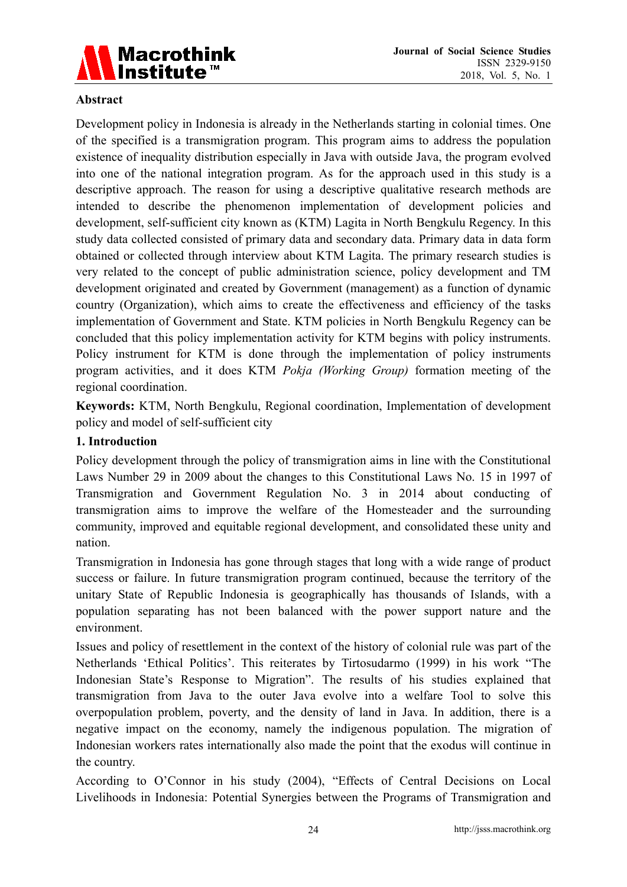

#### **Abstract**

Development policy in Indonesia is already in the Netherlands starting in colonial times. One of the specified is a transmigration program. This program aims to address the population existence of inequality distribution especially in Java with outside Java, the program evolved into one of the national integration program. As for the approach used in this study is a descriptive approach. The reason for using a descriptive qualitative research methods are intended to describe the phenomenon implementation of development policies and development, self-sufficient city known as (KTM) Lagita in North Bengkulu Regency. In this study data collected consisted of primary data and secondary data. Primary data in data form obtained or collected through interview about KTM Lagita. The primary research studies is very related to the concept of public administration science, policy development and TM development originated and created by Government (management) as a function of dynamic country (Organization), which aims to create the effectiveness and efficiency of the tasks implementation of Government and State. KTM policies in North Bengkulu Regency can be concluded that this policy implementation activity for KTM begins with policy instruments. Policy instrument for KTM is done through the implementation of policy instruments program activities, and it does KTM *Pokja (Working Group)* formation meeting of the regional coordination.

**Keywords:** KTM, North Bengkulu, Regional coordination, Implementation of development policy and model of self-sufficient city

#### **1. Introduction**

Policy development through the policy of transmigration aims in line with the Constitutional Laws Number 29 in 2009 about the changes to this Constitutional Laws No. 15 in 1997 of Transmigration and Government Regulation No. 3 in 2014 about conducting of transmigration aims to improve the welfare of the Homesteader and the surrounding community, improved and equitable regional development, and consolidated these unity and nation.

Transmigration in Indonesia has gone through stages that long with a wide range of product success or failure. In future transmigration program continued, because the territory of the unitary State of Republic Indonesia is geographically has thousands of Islands, with a population separating has not been balanced with the power support nature and the environment.

Issues and policy of resettlement in the context of the history of colonial rule was part of the Netherlands 'Ethical Politics'. This reiterates by Tirtosudarmo (1999) in his work "The Indonesian State's Response to Migration". The results of his studies explained that transmigration from Java to the outer Java evolve into a welfare Tool to solve this overpopulation problem, poverty, and the density of land in Java. In addition, there is a negative impact on the economy, namely the indigenous population. The migration of Indonesian workers rates internationally also made the point that the exodus will continue in the country.

According to O'Connor in his study (2004), "Effects of Central Decisions on Local Livelihoods in Indonesia: Potential Synergies between the Programs of Transmigration and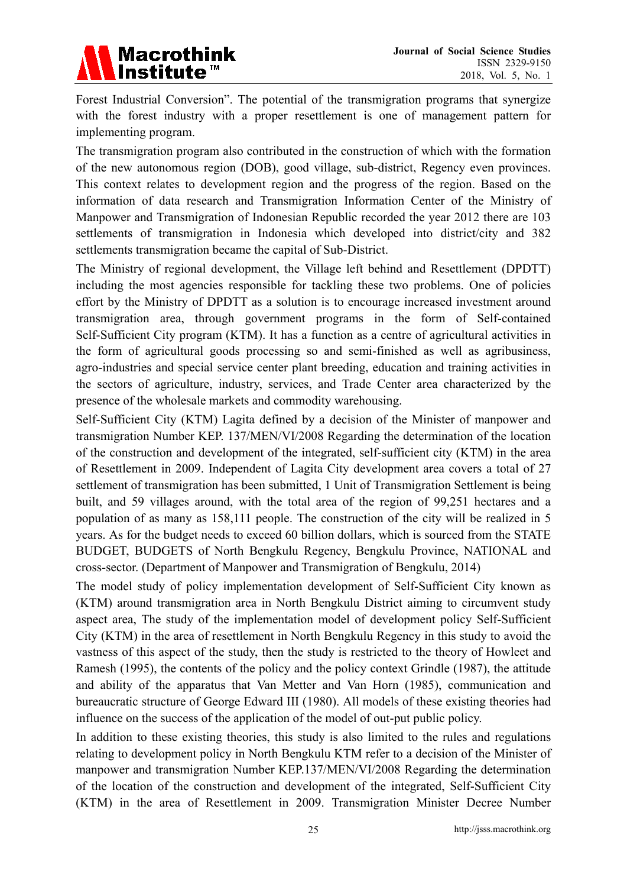

Forest Industrial Conversion". The potential of the transmigration programs that synergize with the forest industry with a proper resettlement is one of management pattern for implementing program.

The transmigration program also contributed in the construction of which with the formation of the new autonomous region (DOB), good village, sub-district, Regency even provinces. This context relates to development region and the progress of the region. Based on the information of data research and Transmigration Information Center of the Ministry of Manpower and Transmigration of Indonesian Republic recorded the year 2012 there are 103 settlements of transmigration in Indonesia which developed into district/city and 382 settlements transmigration became the capital of Sub-District.

The Ministry of regional development, the Village left behind and Resettlement (DPDTT) including the most agencies responsible for tackling these two problems. One of policies effort by the Ministry of DPDTT as a solution is to encourage increased investment around transmigration area, through government programs in the form of Self-contained Self-Sufficient City program (KTM). It has a function as a centre of agricultural activities in the form of agricultural goods processing so and semi-finished as well as agribusiness, agro-industries and special service center plant breeding, education and training activities in the sectors of agriculture, industry, services, and Trade Center area characterized by the presence of the wholesale markets and commodity warehousing.

Self-Sufficient City (KTM) Lagita defined by a decision of the Minister of manpower and transmigration Number KEP. 137/MEN/VI/2008 Regarding the determination of the location of the construction and development of the integrated, self-sufficient city (KTM) in the area of Resettlement in 2009. Independent of Lagita City development area covers a total of 27 settlement of transmigration has been submitted, 1 Unit of Transmigration Settlement is being built, and 59 villages around, with the total area of the region of 99,251 hectares and a population of as many as 158,111 people. The construction of the city will be realized in 5 years. As for the budget needs to exceed 60 billion dollars, which is sourced from the STATE BUDGET, BUDGETS of North Bengkulu Regency, Bengkulu Province, NATIONAL and cross-sector. (Department of Manpower and Transmigration of Bengkulu, 2014)

The model study of policy implementation development of Self-Sufficient City known as (KTM) around transmigration area in North Bengkulu District aiming to circumvent study aspect area, The study of the implementation model of development policy Self-Sufficient City (KTM) in the area of resettlement in North Bengkulu Regency in this study to avoid the vastness of this aspect of the study, then the study is restricted to the theory of Howleet and Ramesh (1995), the contents of the policy and the policy context Grindle (1987), the attitude and ability of the apparatus that Van Metter and Van Horn (1985), communication and bureaucratic structure of George Edward III (1980). All models of these existing theories had influence on the success of the application of the model of out-put public policy.

In addition to these existing theories, this study is also limited to the rules and regulations relating to development policy in North Bengkulu KTM refer to a decision of the Minister of manpower and transmigration Number KEP.137/MEN/VI/2008 Regarding the determination of the location of the construction and development of the integrated, Self-Sufficient City (KTM) in the area of Resettlement in 2009. Transmigration Minister Decree Number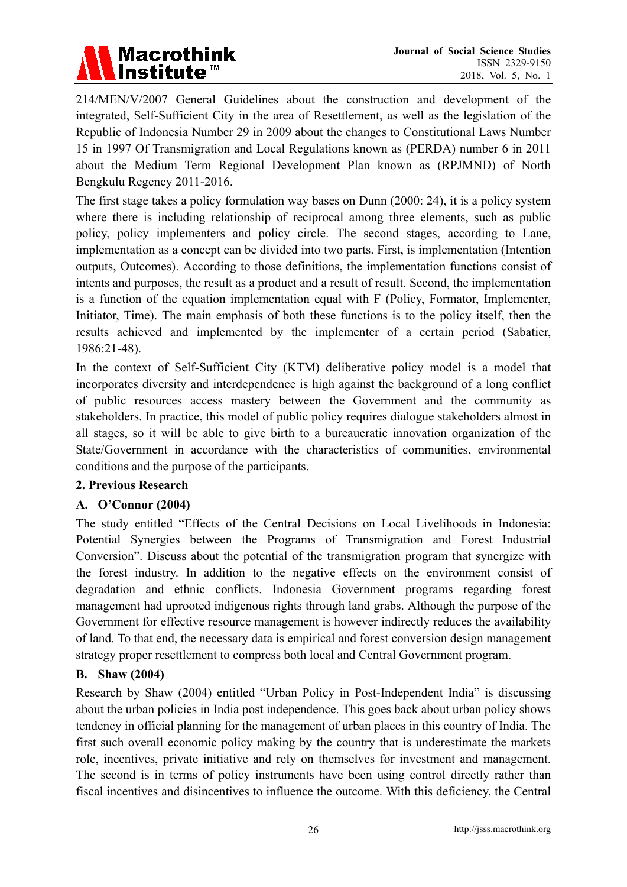# **Macrothink** Institute<sup>™</sup>

214/MEN/V/2007 General Guidelines about the construction and development of the integrated, Self-Sufficient City in the area of Resettlement, as well as the legislation of the Republic of Indonesia Number 29 in 2009 about the changes to Constitutional Laws Number 15 in 1997 Of Transmigration and Local Regulations known as (PERDA) number 6 in 2011 about the Medium Term Regional Development Plan known as (RPJMND) of North Bengkulu Regency 2011-2016.

The first stage takes a policy formulation way bases on Dunn (2000: 24), it is a policy system where there is including relationship of reciprocal among three elements, such as public policy, policy implementers and policy circle. The second stages, according to Lane, implementation as a concept can be divided into two parts. First, is implementation (Intention outputs, Outcomes). According to those definitions, the implementation functions consist of intents and purposes, the result as a product and a result of result. Second, the implementation is a function of the equation implementation equal with F (Policy, Formator, Implementer, Initiator, Time). The main emphasis of both these functions is to the policy itself, then the results achieved and implemented by the implementer of a certain period (Sabatier, 1986:21-48).

In the context of Self-Sufficient City (KTM) deliberative policy model is a model that incorporates diversity and interdependence is high against the background of a long conflict of public resources access mastery between the Government and the community as stakeholders. In practice, this model of public policy requires dialogue stakeholders almost in all stages, so it will be able to give birth to a bureaucratic innovation organization of the State/Government in accordance with the characteristics of communities, environmental conditions and the purpose of the participants.

### **2. Previous Research**

### **A. O'Connor (2004)**

The study entitled "Effects of the Central Decisions on Local Livelihoods in Indonesia: Potential Synergies between the Programs of Transmigration and Forest Industrial Conversion". Discuss about the potential of the transmigration program that synergize with the forest industry. In addition to the negative effects on the environment consist of degradation and ethnic conflicts. Indonesia Government programs regarding forest management had uprooted indigenous rights through land grabs. Although the purpose of the Government for effective resource management is however indirectly reduces the availability of land. To that end, the necessary data is empirical and forest conversion design management strategy proper resettlement to compress both local and Central Government program.

### **B. Shaw (2004)**

Research by Shaw (2004) entitled "Urban Policy in Post-Independent India" is discussing about the urban policies in India post independence. This goes back about urban policy shows tendency in official planning for the management of urban places in this country of India. The first such overall economic policy making by the country that is underestimate the markets role, incentives, private initiative and rely on themselves for investment and management. The second is in terms of policy instruments have been using control directly rather than fiscal incentives and disincentives to influence the outcome. With this deficiency, the Central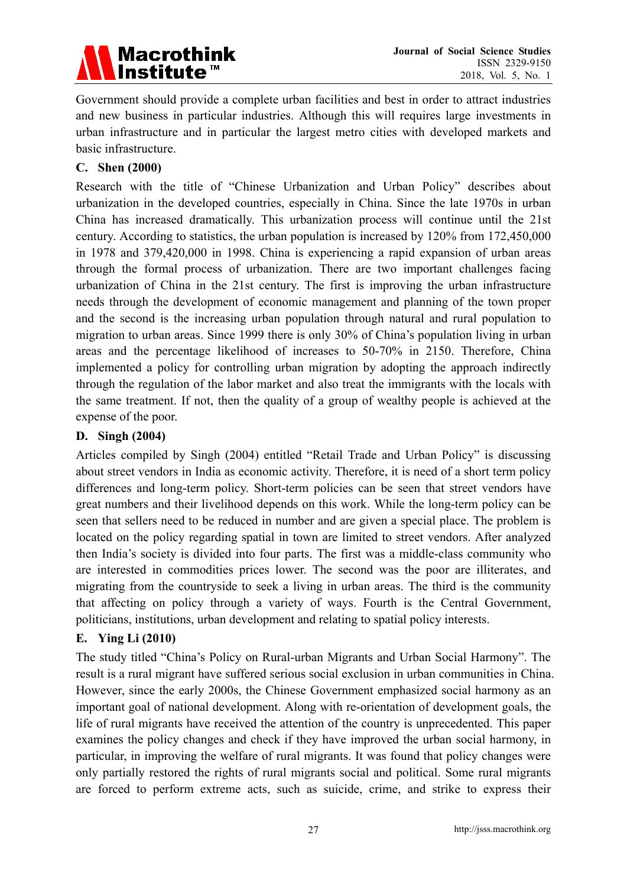

Government should provide a complete urban facilities and best in order to attract industries and new business in particular industries. Although this will requires large investments in urban infrastructure and in particular the largest metro cities with developed markets and basic infrastructure.

### **C. Shen (2000)**

Research with the title of "Chinese Urbanization and Urban Policy" describes about urbanization in the developed countries, especially in China. Since the late 1970s in urban China has increased dramatically. This urbanization process will continue until the 21st century. According to statistics, the urban population is increased by 120% from 172,450,000 in 1978 and 379,420,000 in 1998. China is experiencing a rapid expansion of urban areas through the formal process of urbanization. There are two important challenges facing urbanization of China in the 21st century. The first is improving the urban infrastructure needs through the development of economic management and planning of the town proper and the second is the increasing urban population through natural and rural population to migration to urban areas. Since 1999 there is only 30% of China's population living in urban areas and the percentage likelihood of increases to 50-70% in 2150. Therefore, China implemented a policy for controlling urban migration by adopting the approach indirectly through the regulation of the labor market and also treat the immigrants with the locals with the same treatment. If not, then the quality of a group of wealthy people is achieved at the expense of the poor.

### **D. Singh (2004)**

Articles compiled by Singh (2004) entitled "Retail Trade and Urban Policy" is discussing about street vendors in India as economic activity. Therefore, it is need of a short term policy differences and long-term policy. Short-term policies can be seen that street vendors have great numbers and their livelihood depends on this work. While the long-term policy can be seen that sellers need to be reduced in number and are given a special place. The problem is located on the policy regarding spatial in town are limited to street vendors. After analyzed then India's society is divided into four parts. The first was a middle-class community who are interested in commodities prices lower. The second was the poor are illiterates, and migrating from the countryside to seek a living in urban areas. The third is the community that affecting on policy through a variety of ways. Fourth is the Central Government, politicians, institutions, urban development and relating to spatial policy interests.

### **E. Ying Li (2010)**

The study titled "China's Policy on Rural-urban Migrants and Urban Social Harmony". The result is a rural migrant have suffered serious social exclusion in urban communities in China. However, since the early 2000s, the Chinese Government emphasized social harmony as an important goal of national development. Along with re-orientation of development goals, the life of rural migrants have received the attention of the country is unprecedented. This paper examines the policy changes and check if they have improved the urban social harmony, in particular, in improving the welfare of rural migrants. It was found that policy changes were only partially restored the rights of rural migrants social and political. Some rural migrants are forced to perform extreme acts, such as suicide, crime, and strike to express their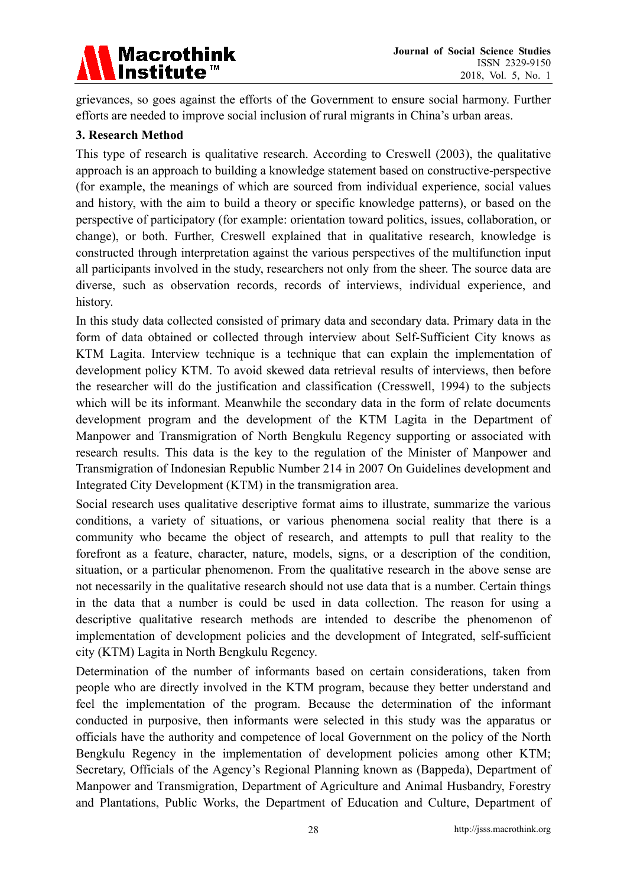

grievances, so goes against the efforts of the Government to ensure social harmony. Further efforts are needed to improve social inclusion of rural migrants in China's urban areas.

### **3. Research Method**

This type of research is qualitative research. According to Creswell (2003), the qualitative approach is an approach to building a knowledge statement based on constructive-perspective (for example, the meanings of which are sourced from individual experience, social values and history, with the aim to build a theory or specific knowledge patterns), or based on the perspective of participatory (for example: orientation toward politics, issues, collaboration, or change), or both. Further, Creswell explained that in qualitative research, knowledge is constructed through interpretation against the various perspectives of the multifunction input all participants involved in the study, researchers not only from the sheer. The source data are diverse, such as observation records, records of interviews, individual experience, and history.

In this study data collected consisted of primary data and secondary data. Primary data in the form of data obtained or collected through interview about Self-Sufficient City knows as KTM Lagita. Interview technique is a technique that can explain the implementation of development policy KTM. To avoid skewed data retrieval results of interviews, then before the researcher will do the justification and classification (Cresswell, 1994) to the subjects which will be its informant. Meanwhile the secondary data in the form of relate documents development program and the development of the KTM Lagita in the Department of Manpower and Transmigration of North Bengkulu Regency supporting or associated with research results. This data is the key to the regulation of the Minister of Manpower and Transmigration of Indonesian Republic Number 214 in 2007 On Guidelines development and Integrated City Development (KTM) in the transmigration area.

Social research uses qualitative descriptive format aims to illustrate, summarize the various conditions, a variety of situations, or various phenomena social reality that there is a community who became the object of research, and attempts to pull that reality to the forefront as a feature, character, nature, models, signs, or a description of the condition, situation, or a particular phenomenon. From the qualitative research in the above sense are not necessarily in the qualitative research should not use data that is a number. Certain things in the data that a number is could be used in data collection. The reason for using a descriptive qualitative research methods are intended to describe the phenomenon of implementation of development policies and the development of Integrated, self-sufficient city (KTM) Lagita in North Bengkulu Regency.

Determination of the number of informants based on certain considerations, taken from people who are directly involved in the KTM program, because they better understand and feel the implementation of the program. Because the determination of the informant conducted in purposive, then informants were selected in this study was the apparatus or officials have the authority and competence of local Government on the policy of the North Bengkulu Regency in the implementation of development policies among other KTM; Secretary, Officials of the Agency's Regional Planning known as (Bappeda), Department of Manpower and Transmigration, Department of Agriculture and Animal Husbandry, Forestry and Plantations, Public Works, the Department of Education and Culture, Department of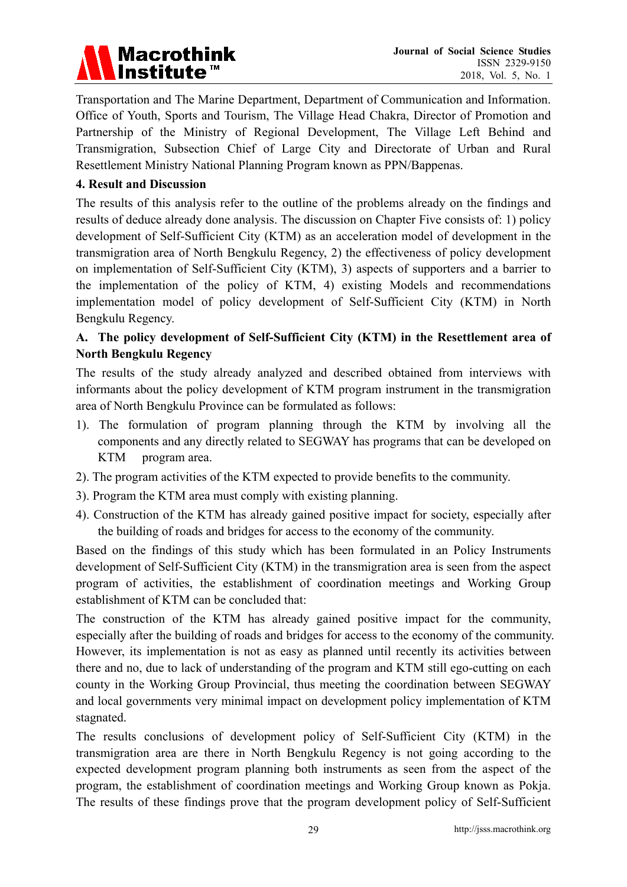# **Macrothink Institute™**

Transportation and The Marine Department, Department of Communication and Information. Office of Youth, Sports and Tourism, The Village Head Chakra, Director of Promotion and Partnership of the Ministry of Regional Development, The Village Left Behind and Transmigration, Subsection Chief of Large City and Directorate of Urban and Rural Resettlement Ministry National Planning Program known as PPN/Bappenas.

## **4. Result and Discussion**

The results of this analysis refer to the outline of the problems already on the findings and results of deduce already done analysis. The discussion on Chapter Five consists of: 1) policy development of Self-Sufficient City (KTM) as an acceleration model of development in the transmigration area of North Bengkulu Regency, 2) the effectiveness of policy development on implementation of Self-Sufficient City (KTM), 3) aspects of supporters and a barrier to the implementation of the policy of KTM, 4) existing Models and recommendations implementation model of policy development of Self-Sufficient City (KTM) in North Bengkulu Regency.

# **A. The policy development of Self-Sufficient City (KTM) in the Resettlement area of North Bengkulu Regency**

The results of the study already analyzed and described obtained from interviews with informants about the policy development of KTM program instrument in the transmigration area of North Bengkulu Province can be formulated as follows:

- 1). The formulation of program planning through the KTM by involving all the components and any directly related to SEGWAY has programs that can be developed on KTM program area.
- 2). The program activities of the KTM expected to provide benefits to the community.
- 3). Program the KTM area must comply with existing planning.
- 4). Construction of the KTM has already gained positive impact for society, especially after the building of roads and bridges for access to the economy of the community.

Based on the findings of this study which has been formulated in an Policy Instruments development of Self-Sufficient City (KTM) in the transmigration area is seen from the aspect program of activities, the establishment of coordination meetings and Working Group establishment of KTM can be concluded that:

The construction of the KTM has already gained positive impact for the community, especially after the building of roads and bridges for access to the economy of the community. However, its implementation is not as easy as planned until recently its activities between there and no, due to lack of understanding of the program and KTM still ego-cutting on each county in the Working Group Provincial, thus meeting the coordination between SEGWAY and local governments very minimal impact on development policy implementation of KTM stagnated.

The results conclusions of development policy of Self-Sufficient City (KTM) in the transmigration area are there in North Bengkulu Regency is not going according to the expected development program planning both instruments as seen from the aspect of the program, the establishment of coordination meetings and Working Group known as Pokja. The results of these findings prove that the program development policy of Self-Sufficient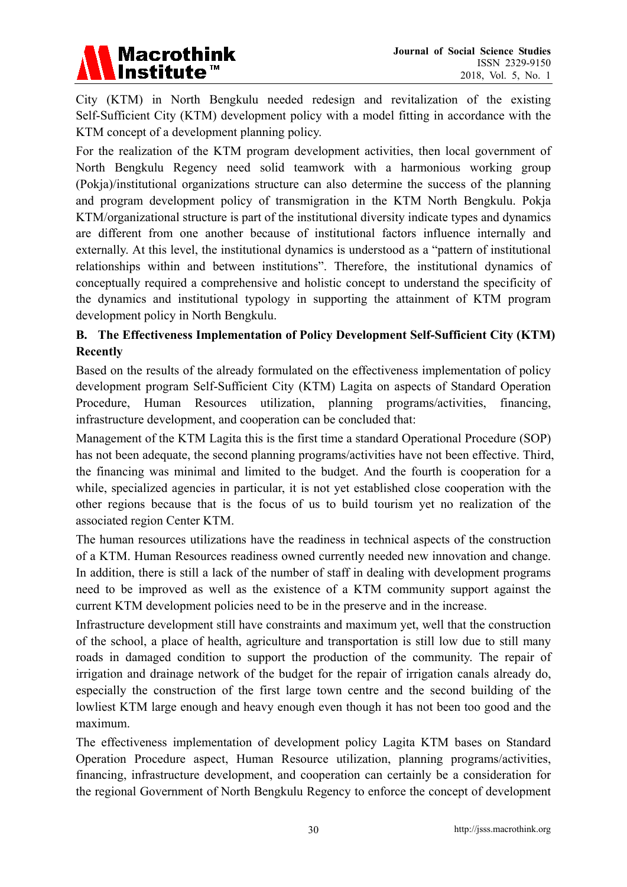

City (KTM) in North Bengkulu needed redesign and revitalization of the existing Self-Sufficient City (KTM) development policy with a model fitting in accordance with the KTM concept of a development planning policy.

For the realization of the KTM program development activities, then local government of North Bengkulu Regency need solid teamwork with a harmonious working group (Pokja)/institutional organizations structure can also determine the success of the planning and program development policy of transmigration in the KTM North Bengkulu. Pokja KTM/organizational structure is part of the institutional diversity indicate types and dynamics are different from one another because of institutional factors influence internally and externally. At this level, the institutional dynamics is understood as a "pattern of institutional relationships within and between institutions". Therefore, the institutional dynamics of conceptually required a comprehensive and holistic concept to understand the specificity of the dynamics and institutional typology in supporting the attainment of KTM program development policy in North Bengkulu.

# **B. The Effectiveness Implementation of Policy Development Self-Sufficient City (KTM) Recently**

Based on the results of the already formulated on the effectiveness implementation of policy development program Self-Sufficient City (KTM) Lagita on aspects of Standard Operation Procedure, Human Resources utilization, planning programs/activities, financing, infrastructure development, and cooperation can be concluded that:

Management of the KTM Lagita this is the first time a standard Operational Procedure (SOP) has not been adequate, the second planning programs/activities have not been effective. Third, the financing was minimal and limited to the budget. And the fourth is cooperation for a while, specialized agencies in particular, it is not yet established close cooperation with the other regions because that is the focus of us to build tourism yet no realization of the associated region Center KTM.

The human resources utilizations have the readiness in technical aspects of the construction of a KTM. Human Resources readiness owned currently needed new innovation and change. In addition, there is still a lack of the number of staff in dealing with development programs need to be improved as well as the existence of a KTM community support against the current KTM development policies need to be in the preserve and in the increase.

Infrastructure development still have constraints and maximum yet, well that the construction of the school, a place of health, agriculture and transportation is still low due to still many roads in damaged condition to support the production of the community. The repair of irrigation and drainage network of the budget for the repair of irrigation canals already do, especially the construction of the first large town centre and the second building of the lowliest KTM large enough and heavy enough even though it has not been too good and the maximum.

The effectiveness implementation of development policy Lagita KTM bases on Standard Operation Procedure aspect, Human Resource utilization, planning programs/activities, financing, infrastructure development, and cooperation can certainly be a consideration for the regional Government of North Bengkulu Regency to enforce the concept of development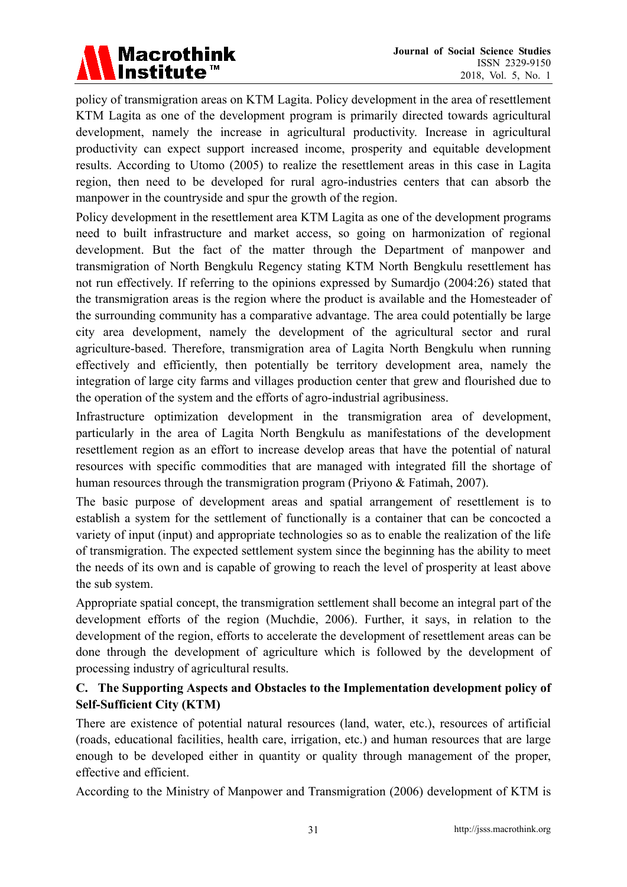

policy of transmigration areas on KTM Lagita. Policy development in the area of resettlement KTM Lagita as one of the development program is primarily directed towards agricultural development, namely the increase in agricultural productivity. Increase in agricultural productivity can expect support increased income, prosperity and equitable development results. According to Utomo (2005) to realize the resettlement areas in this case in Lagita region, then need to be developed for rural agro-industries centers that can absorb the manpower in the countryside and spur the growth of the region.

Policy development in the resettlement area KTM Lagita as one of the development programs need to built infrastructure and market access, so going on harmonization of regional development. But the fact of the matter through the Department of manpower and transmigration of North Bengkulu Regency stating KTM North Bengkulu resettlement has not run effectively. If referring to the opinions expressed by Sumardjo (2004:26) stated that the transmigration areas is the region where the product is available and the Homesteader of the surrounding community has a comparative advantage. The area could potentially be large city area development, namely the development of the agricultural sector and rural agriculture-based. Therefore, transmigration area of Lagita North Bengkulu when running effectively and efficiently, then potentially be territory development area, namely the integration of large city farms and villages production center that grew and flourished due to the operation of the system and the efforts of agro-industrial agribusiness.

Infrastructure optimization development in the transmigration area of development, particularly in the area of Lagita North Bengkulu as manifestations of the development resettlement region as an effort to increase develop areas that have the potential of natural resources with specific commodities that are managed with integrated fill the shortage of human resources through the transmigration program (Priyono & Fatimah, 2007).

The basic purpose of development areas and spatial arrangement of resettlement is to establish a system for the settlement of functionally is a container that can be concocted a variety of input (input) and appropriate technologies so as to enable the realization of the life of transmigration. The expected settlement system since the beginning has the ability to meet the needs of its own and is capable of growing to reach the level of prosperity at least above the sub system.

Appropriate spatial concept, the transmigration settlement shall become an integral part of the development efforts of the region (Muchdie, 2006). Further, it says, in relation to the development of the region, efforts to accelerate the development of resettlement areas can be done through the development of agriculture which is followed by the development of processing industry of agricultural results.

# **C. The Supporting Aspects and Obstacles to the Implementation development policy of Self-Sufficient City (KTM)**

There are existence of potential natural resources (land, water, etc.), resources of artificial (roads, educational facilities, health care, irrigation, etc.) and human resources that are large enough to be developed either in quantity or quality through management of the proper, effective and efficient.

According to the Ministry of Manpower and Transmigration (2006) development of KTM is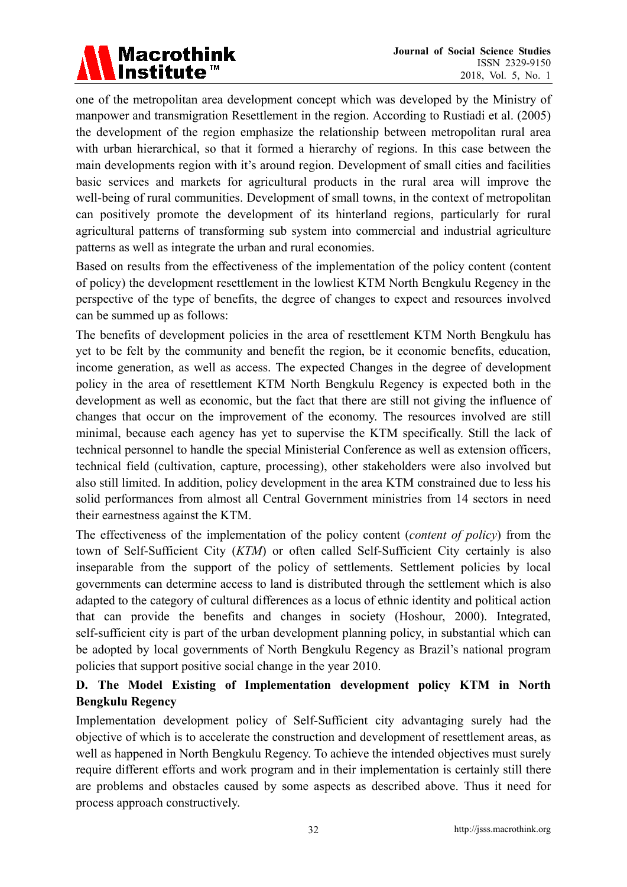# **Macrothink Institute™**

one of the metropolitan area development concept which was developed by the Ministry of manpower and transmigration Resettlement in the region. According to Rustiadi et al. (2005) the development of the region emphasize the relationship between metropolitan rural area with urban hierarchical, so that it formed a hierarchy of regions. In this case between the main developments region with it's around region. Development of small cities and facilities basic services and markets for agricultural products in the rural area will improve the well-being of rural communities. Development of small towns, in the context of metropolitan can positively promote the development of its hinterland regions, particularly for rural agricultural patterns of transforming sub system into commercial and industrial agriculture patterns as well as integrate the urban and rural economies.

Based on results from the effectiveness of the implementation of the policy content (content of policy) the development resettlement in the lowliest KTM North Bengkulu Regency in the perspective of the type of benefits, the degree of changes to expect and resources involved can be summed up as follows:

The benefits of development policies in the area of resettlement KTM North Bengkulu has yet to be felt by the community and benefit the region, be it economic benefits, education, income generation, as well as access. The expected Changes in the degree of development policy in the area of resettlement KTM North Bengkulu Regency is expected both in the development as well as economic, but the fact that there are still not giving the influence of changes that occur on the improvement of the economy. The resources involved are still minimal, because each agency has yet to supervise the KTM specifically. Still the lack of technical personnel to handle the special Ministerial Conference as well as extension officers, technical field (cultivation, capture, processing), other stakeholders were also involved but also still limited. In addition, policy development in the area KTM constrained due to less his solid performances from almost all Central Government ministries from 14 sectors in need their earnestness against the KTM.

The effectiveness of the implementation of the policy content (*content of policy*) from the town of Self-Sufficient City (*KTM*) or often called Self-Sufficient City certainly is also inseparable from the support of the policy of settlements. Settlement policies by local governments can determine access to land is distributed through the settlement which is also adapted to the category of cultural differences as a locus of ethnic identity and political action that can provide the benefits and changes in society (Hoshour, 2000). Integrated, self-sufficient city is part of the urban development planning policy, in substantial which can be adopted by local governments of North Bengkulu Regency as Brazil's national program policies that support positive social change in the year 2010.

# **D. The Model Existing of Implementation development policy KTM in North Bengkulu Regency**

Implementation development policy of Self-Sufficient city advantaging surely had the objective of which is to accelerate the construction and development of resettlement areas, as well as happened in North Bengkulu Regency. To achieve the intended objectives must surely require different efforts and work program and in their implementation is certainly still there are problems and obstacles caused by some aspects as described above. Thus it need for process approach constructively.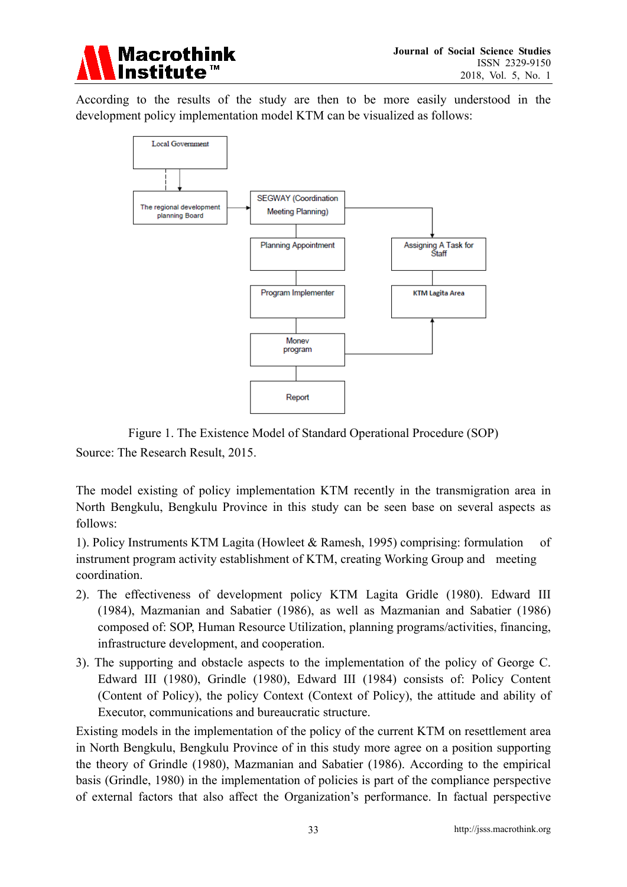

According to the results of the study are then to be more easily understood in the development policy implementation model KTM can be visualized as follows:



Figure 1. The Existence Model of Standard Operational Procedure (SOP) Source: The Research Result, 2015.

The model existing of policy implementation KTM recently in the transmigration area in North Bengkulu, Bengkulu Province in this study can be seen base on several aspects as follows:

1). Policy Instruments KTM Lagita (Howleet & Ramesh, 1995) comprising: formulation of instrument program activity establishment of KTM, creating Working Group and meeting coordination.

- 2). The effectiveness of development policy KTM Lagita Gridle (1980). Edward III (1984), Mazmanian and Sabatier (1986), as well as Mazmanian and Sabatier (1986) composed of: SOP, Human Resource Utilization, planning programs/activities, financing, infrastructure development, and cooperation.
- 3). The supporting and obstacle aspects to the implementation of the policy of George C. Edward III (1980), Grindle (1980), Edward III (1984) consists of: Policy Content (Content of Policy), the policy Context (Context of Policy), the attitude and ability of Executor, communications and bureaucratic structure.

Existing models in the implementation of the policy of the current KTM on resettlement area in North Bengkulu, Bengkulu Province of in this study more agree on a position supporting the theory of Grindle (1980), Mazmanian and Sabatier (1986). According to the empirical basis (Grindle, 1980) in the implementation of policies is part of the compliance perspective of external factors that also affect the Organization's performance. In factual perspective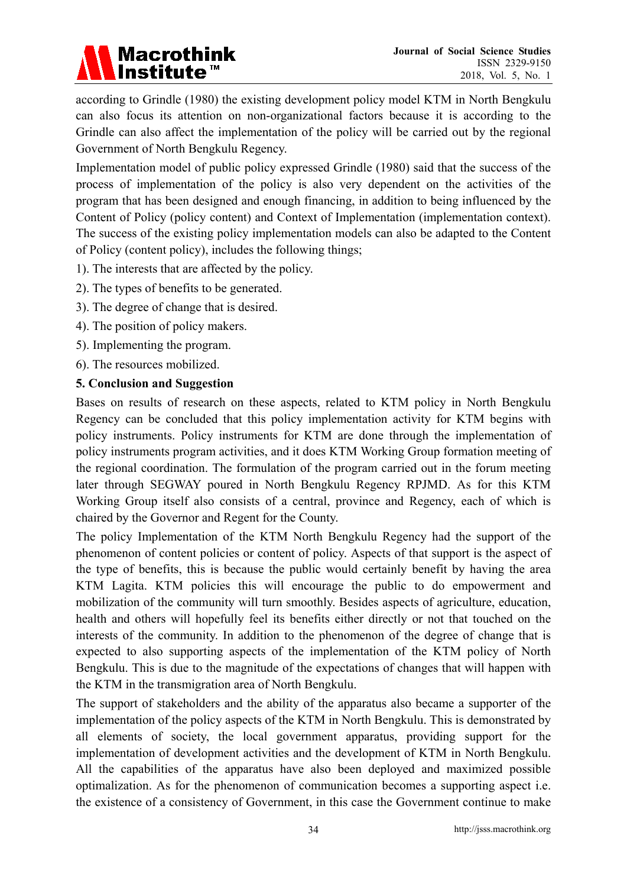

according to Grindle (1980) the existing development policy model KTM in North Bengkulu can also focus its attention on non-organizational factors because it is according to the Grindle can also affect the implementation of the policy will be carried out by the regional Government of North Bengkulu Regency.

Implementation model of public policy expressed Grindle (1980) said that the success of the process of implementation of the policy is also very dependent on the activities of the program that has been designed and enough financing, in addition to being influenced by the Content of Policy (policy content) and Context of Implementation (implementation context). The success of the existing policy implementation models can also be adapted to the Content of Policy (content policy), includes the following things;

- 1). The interests that are affected by the policy.
- 2). The types of benefits to be generated.
- 3). The degree of change that is desired.
- 4). The position of policy makers.
- 5). Implementing the program.
- 6). The resources mobilized.

#### **5. Conclusion and Suggestion**

Bases on results of research on these aspects, related to KTM policy in North Bengkulu Regency can be concluded that this policy implementation activity for KTM begins with policy instruments. Policy instruments for KTM are done through the implementation of policy instruments program activities, and it does KTM Working Group formation meeting of the regional coordination. The formulation of the program carried out in the forum meeting later through SEGWAY poured in North Bengkulu Regency RPJMD. As for this KTM Working Group itself also consists of a central, province and Regency, each of which is chaired by the Governor and Regent for the County.

The policy Implementation of the KTM North Bengkulu Regency had the support of the phenomenon of content policies or content of policy. Aspects of that support is the aspect of the type of benefits, this is because the public would certainly benefit by having the area KTM Lagita. KTM policies this will encourage the public to do empowerment and mobilization of the community will turn smoothly. Besides aspects of agriculture, education, health and others will hopefully feel its benefits either directly or not that touched on the interests of the community. In addition to the phenomenon of the degree of change that is expected to also supporting aspects of the implementation of the KTM policy of North Bengkulu. This is due to the magnitude of the expectations of changes that will happen with the KTM in the transmigration area of North Bengkulu.

The support of stakeholders and the ability of the apparatus also became a supporter of the implementation of the policy aspects of the KTM in North Bengkulu. This is demonstrated by all elements of society, the local government apparatus, providing support for the implementation of development activities and the development of KTM in North Bengkulu. All the capabilities of the apparatus have also been deployed and maximized possible optimalization. As for the phenomenon of communication becomes a supporting aspect i.e. the existence of a consistency of Government, in this case the Government continue to make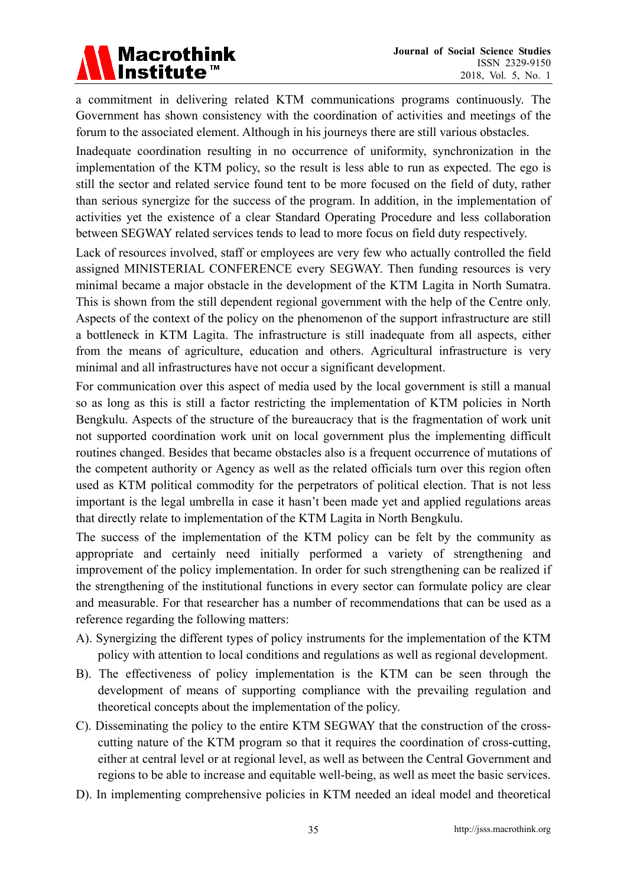

a commitment in delivering related KTM communications programs continuously. The Government has shown consistency with the coordination of activities and meetings of the forum to the associated element. Although in his journeys there are still various obstacles.

Inadequate coordination resulting in no occurrence of uniformity, synchronization in the implementation of the KTM policy, so the result is less able to run as expected. The ego is still the sector and related service found tent to be more focused on the field of duty, rather than serious synergize for the success of the program. In addition, in the implementation of activities yet the existence of a clear Standard Operating Procedure and less collaboration between SEGWAY related services tends to lead to more focus on field duty respectively.

Lack of resources involved, staff or employees are very few who actually controlled the field assigned MINISTERIAL CONFERENCE every SEGWAY. Then funding resources is very minimal became a major obstacle in the development of the KTM Lagita in North Sumatra. This is shown from the still dependent regional government with the help of the Centre only. Aspects of the context of the policy on the phenomenon of the support infrastructure are still a bottleneck in KTM Lagita. The infrastructure is still inadequate from all aspects, either from the means of agriculture, education and others. Agricultural infrastructure is very minimal and all infrastructures have not occur a significant development.

For communication over this aspect of media used by the local government is still a manual so as long as this is still a factor restricting the implementation of KTM policies in North Bengkulu. Aspects of the structure of the bureaucracy that is the fragmentation of work unit not supported coordination work unit on local government plus the implementing difficult routines changed. Besides that became obstacles also is a frequent occurrence of mutations of the competent authority or Agency as well as the related officials turn over this region often used as KTM political commodity for the perpetrators of political election. That is not less important is the legal umbrella in case it hasn't been made yet and applied regulations areas that directly relate to implementation of the KTM Lagita in North Bengkulu.

The success of the implementation of the KTM policy can be felt by the community as appropriate and certainly need initially performed a variety of strengthening and improvement of the policy implementation. In order for such strengthening can be realized if the strengthening of the institutional functions in every sector can formulate policy are clear and measurable. For that researcher has a number of recommendations that can be used as a reference regarding the following matters:

- A). Synergizing the different types of policy instruments for the implementation of the KTM policy with attention to local conditions and regulations as well as regional development.
- B). The effectiveness of policy implementation is the KTM can be seen through the development of means of supporting compliance with the prevailing regulation and theoretical concepts about the implementation of the policy.
- C). Disseminating the policy to the entire KTM SEGWAY that the construction of the cross cutting nature of the KTM program so that it requires the coordination of cross-cutting, either at central level or at regional level, as well as between the Central Government and regions to be able to increase and equitable well-being, as well as meet the basic services.
- D). In implementing comprehensive policies in KTM needed an ideal model and theoretical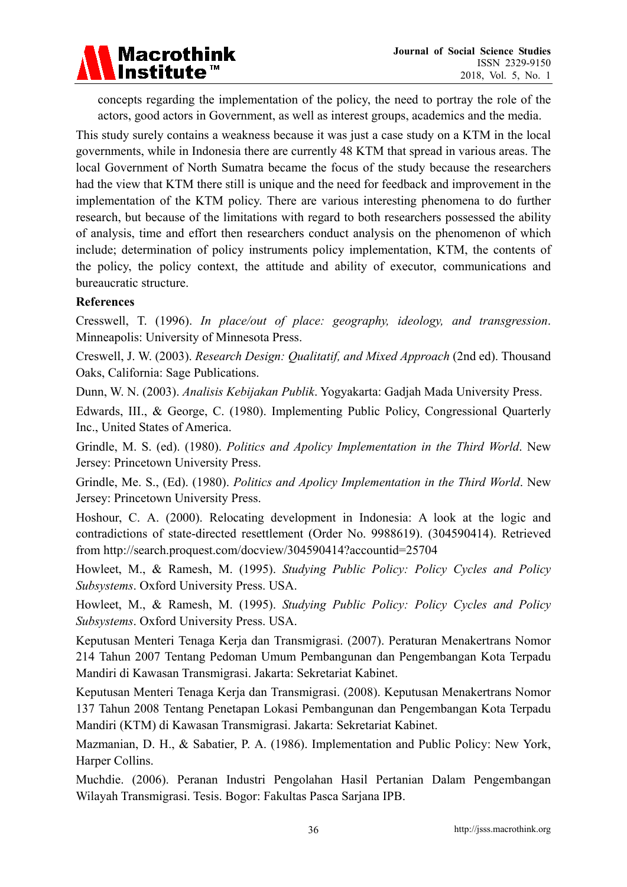

 concepts regarding the implementation of the policy, the need to portray the role of the actors, good actors in Government, as well as interest groups, academics and the media.

This study surely contains a weakness because it was just a case study on a KTM in the local governments, while in Indonesia there are currently 48 KTM that spread in various areas. The local Government of North Sumatra became the focus of the study because the researchers had the view that KTM there still is unique and the need for feedback and improvement in the implementation of the KTM policy. There are various interesting phenomena to do further research, but because of the limitations with regard to both researchers possessed the ability of analysis, time and effort then researchers conduct analysis on the phenomenon of which include; determination of policy instruments policy implementation, KTM, the contents of the policy, the policy context, the attitude and ability of executor, communications and bureaucratic structure.

### **References**

Cresswell, T. (1996). *In place/out of place: geography, ideology, and transgression*. Minneapolis: University of Minnesota Press.

Creswell, J. W. (2003). *Research Design: Qualitatif, and Mixed Approach* (2nd ed). Thousand Oaks, California: Sage Publications.

Dunn, W. N. (2003). *Analisis Kebijakan Publik*. Yogyakarta: Gadjah Mada University Press.

Edwards, III., & George, C. (1980). Implementing Public Policy, Congressional Quarterly Inc., United States of America.

Grindle, M. S. (ed). (1980). *Politics and Apolicy Implementation in the Third World*. New Jersey: Princetown University Press.

Grindle, Me. S., (Ed). (1980). *Politics and Apolicy Implementation in the Third World*. New Jersey: Princetown University Press.

Hoshour, C. A. (2000). Relocating development in Indonesia: A look at the logic and contradictions of state-directed resettlement (Order No. 9988619). (304590414). Retrieved from http://search.proquest.com/docview/304590414?accountid=25704

Howleet, M., & Ramesh, M. (1995). *Studying Public Policy: Policy Cycles and Policy Subsystems*. Oxford University Press. USA.

Howleet, M., & Ramesh, M. (1995). *Studying Public Policy: Policy Cycles and Policy Subsystems*. Oxford University Press. USA.

Keputusan Menteri Tenaga Kerja dan Transmigrasi. (2007). Peraturan Menakertrans Nomor 214 Tahun 2007 Tentang Pedoman Umum Pembangunan dan Pengembangan Kota Terpadu Mandiri di Kawasan Transmigrasi. Jakarta: Sekretariat Kabinet.

Keputusan Menteri Tenaga Kerja dan Transmigrasi. (2008). Keputusan Menakertrans Nomor 137 Tahun 2008 Tentang Penetapan Lokasi Pembangunan dan Pengembangan Kota Terpadu Mandiri (KTM) di Kawasan Transmigrasi. Jakarta: Sekretariat Kabinet.

Mazmanian, D. H., & Sabatier, P. A. (1986). Implementation and Public Policy: New York, Harper Collins.

Muchdie. (2006). Peranan Industri Pengolahan Hasil Pertanian Dalam Pengembangan Wilayah Transmigrasi. Tesis. Bogor: Fakultas Pasca Sarjana IPB.